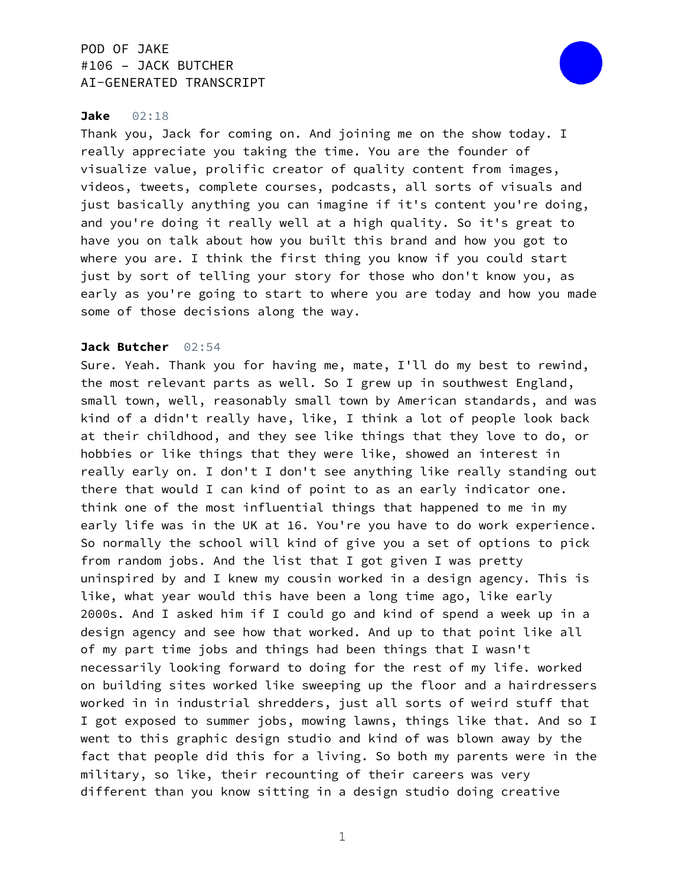

### **Jake** 02:18

Thank you, Jack for coming on. And joining me on the show today. I really appreciate you taking the time. You are the founder of visualize value, prolific creator of quality content from images, videos, tweets, complete courses, podcasts, all sorts of visuals and just basically anything you can imagine if it's content you're doing, and you're doing it really well at a high quality. So it's great to have you on talk about how you built this brand and how you got to where you are. I think the first thing you know if you could start just by sort of telling your story for those who don't know you, as early as you're going to start to where you are today and how you made some of those decisions along the way.

### **Jack Butcher** 02:54

Sure. Yeah. Thank you for having me, mate, I'll do my best to rewind, the most relevant parts as well. So I grew up in southwest England, small town, well, reasonably small town by American standards, and was kind of a didn't really have, like, I think a lot of people look back at their childhood, and they see like things that they love to do, or hobbies or like things that they were like, showed an interest in really early on. I don't I don't see anything like really standing out there that would I can kind of point to as an early indicator one. think one of the most influential things that happened to me in my early life was in the UK at 16. You're you have to do work experience. So normally the school will kind of give you a set of options to pick from random jobs. And the list that I got given I was pretty uninspired by and I knew my cousin worked in a design agency. This is like, what year would this have been a long time ago, like early 2000s. And I asked him if I could go and kind of spend a week up in a design agency and see how that worked. And up to that point like all of my part time jobs and things had been things that I wasn't necessarily looking forward to doing for the rest of my life. worked on building sites worked like sweeping up the floor and a hairdressers worked in in industrial shredders, just all sorts of weird stuff that I got exposed to summer jobs, mowing lawns, things like that. And so I went to this graphic design studio and kind of was blown away by the fact that people did this for a living. So both my parents were in the military, so like, their recounting of their careers was very different than you know sitting in a design studio doing creative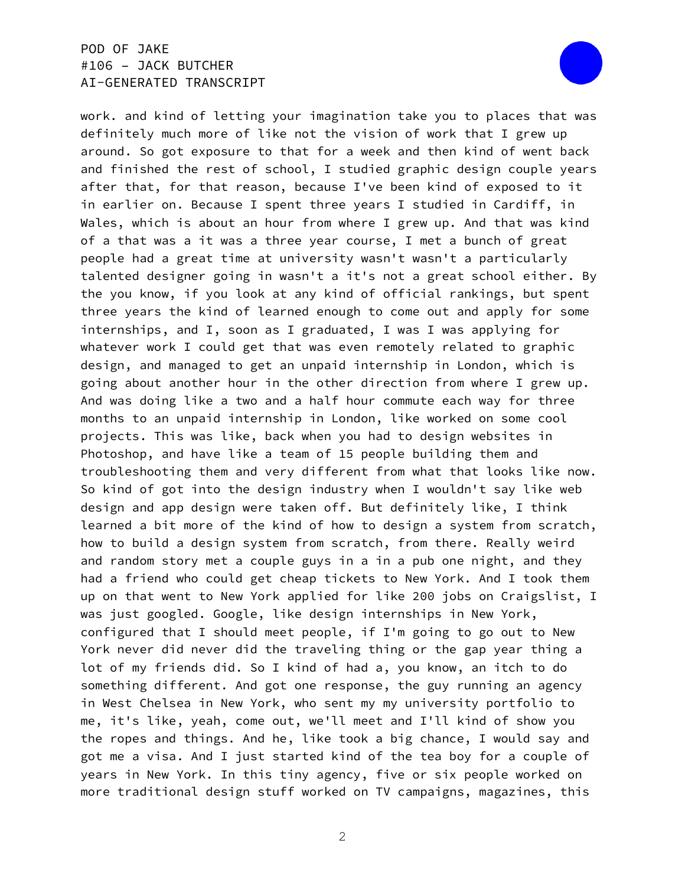

work. and kind of letting your imagination take you to places that was definitely much more of like not the vision of work that I grew up around. So got exposure to that for a week and then kind of went back and finished the rest of school, I studied graphic design couple years after that, for that reason, because I've been kind of exposed to it in earlier on. Because I spent three years I studied in Cardiff, in Wales, which is about an hour from where I grew up. And that was kind of a that was a it was a three year course, I met a bunch of great people had a great time at university wasn't wasn't a particularly talented designer going in wasn't a it's not a great school either. By the you know, if you look at any kind of official rankings, but spent three years the kind of learned enough to come out and apply for some internships, and I, soon as I graduated, I was I was applying for whatever work I could get that was even remotely related to graphic design, and managed to get an unpaid internship in London, which is going about another hour in the other direction from where I grew up. And was doing like a two and a half hour commute each way for three months to an unpaid internship in London, like worked on some cool projects. This was like, back when you had to design websites in Photoshop, and have like a team of 15 people building them and troubleshooting them and very different from what that looks like now. So kind of got into the design industry when I wouldn't say like web design and app design were taken off. But definitely like, I think learned a bit more of the kind of how to design a system from scratch, how to build a design system from scratch, from there. Really weird and random story met a couple guys in a in a pub one night, and they had a friend who could get cheap tickets to New York. And I took them up on that went to New York applied for like 200 jobs on Craigslist, I was just googled. Google, like design internships in New York, configured that I should meet people, if I'm going to go out to New York never did never did the traveling thing or the gap year thing a lot of my friends did. So I kind of had a, you know, an itch to do something different. And got one response, the guy running an agency in West Chelsea in New York, who sent my my university portfolio to me, it's like, yeah, come out, we'll meet and I'll kind of show you the ropes and things. And he, like took a big chance, I would say and got me a visa. And I just started kind of the tea boy for a couple of years in New York. In this tiny agency, five or six people worked on more traditional design stuff worked on TV campaigns, magazines, this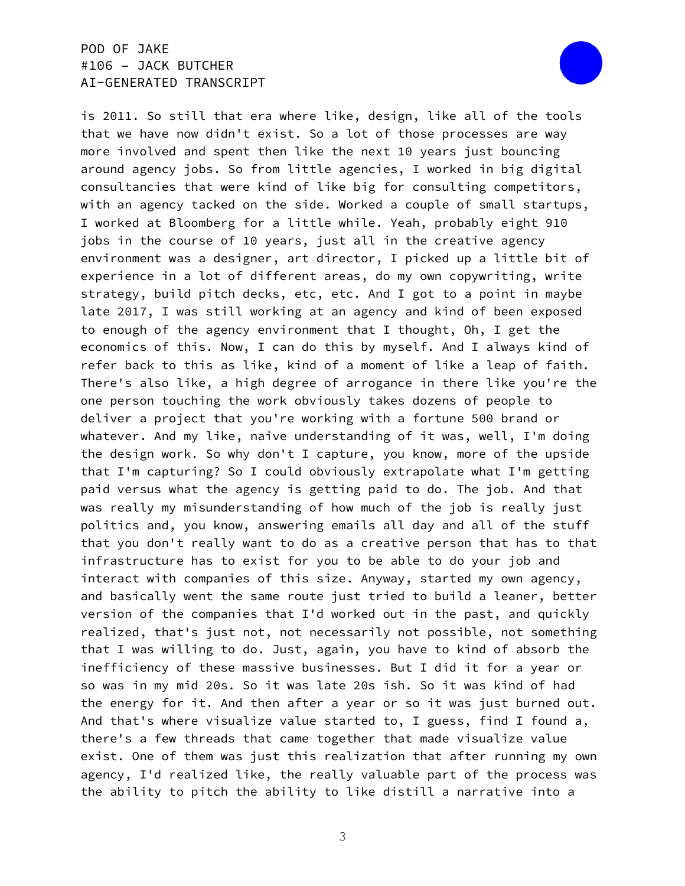

is 2011. So still that era where like, design, like all of the tools that we have now didn't exist. So a lot of those processes are way more involved and spent then like the next 10 years just bouncing around agency jobs. So from little agencies, I worked in big digital consultancies that were kind of like big for consulting competitors, with an agency tacked on the side. Worked a couple of small startups, I worked at Bloomberg for a little while. Yeah, probably eight 910 jobs in the course of 10 years, just all in the creative agency environment was a designer, art director, I picked up a little bit of experience in a lot of different areas, do my own copywriting, write strategy, build pitch decks, etc, etc. And I got to a point in maybe late 2017, I was still working at an agency and kind of been exposed to enough of the agency environment that I thought, Oh, I get the economics of this. Now, I can do this by myself. And I always kind of refer back to this as like, kind of a moment of like a leap of faith. There's also like, a high degree of arrogance in there like you're the one person touching the work obviously takes dozens of people to deliver a project that you're working with a fortune 500 brand or whatever. And my like, naive understanding of it was, well, I'm doing the design work. So why don't I capture, you know, more of the upside that I'm capturing? So I could obviously extrapolate what I'm getting paid versus what the agency is getting paid to do. The job. And that was really my misunderstanding of how much of the job is really just politics and, you know, answering emails all day and all of the stuff that you don't really want to do as a creative person that has to that infrastructure has to exist for you to be able to do your job and interact with companies of this size. Anyway, started my own agency, and basically went the same route just tried to build a leaner, better version of the companies that I'd worked out in the past, and quickly realized, that's just not, not necessarily not possible, not something that I was willing to do. Just, again, you have to kind of absorb the inefficiency of these massive businesses. But I did it for a year or so was in my mid 20s. So it was late 20s ish. So it was kind of had the energy for it. And then after a year or so it was just burned out. And that's where visualize value started to, I guess, find I found a, there's a few threads that came together that made visualize value exist. One of them was just this realization that after running my own agency, I'd realized like, the really valuable part of the process was the ability to pitch the ability to like distill a narrative into a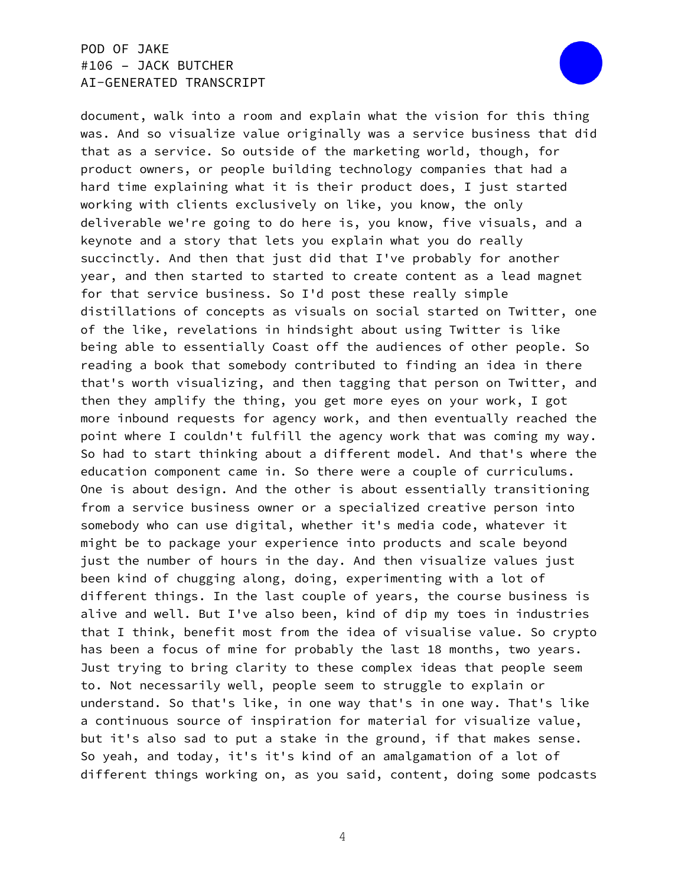

document, walk into a room and explain what the vision for this thing was. And so visualize value originally was a service business that did that as a service. So outside of the marketing world, though, for product owners, or people building technology companies that had a hard time explaining what it is their product does, I just started working with clients exclusively on like, you know, the only deliverable we're going to do here is, you know, five visuals, and a keynote and a story that lets you explain what you do really succinctly. And then that just did that I've probably for another year, and then started to started to create content as a lead magnet for that service business. So I'd post these really simple distillations of concepts as visuals on social started on Twitter, one of the like, revelations in hindsight about using Twitter is like being able to essentially Coast off the audiences of other people. So reading a book that somebody contributed to finding an idea in there that's worth visualizing, and then tagging that person on Twitter, and then they amplify the thing, you get more eyes on your work, I got more inbound requests for agency work, and then eventually reached the point where I couldn't fulfill the agency work that was coming my way. So had to start thinking about a different model. And that's where the education component came in. So there were a couple of curriculums. One is about design. And the other is about essentially transitioning from a service business owner or a specialized creative person into somebody who can use digital, whether it's media code, whatever it might be to package your experience into products and scale beyond just the number of hours in the day. And then visualize values just been kind of chugging along, doing, experimenting with a lot of different things. In the last couple of years, the course business is alive and well. But I've also been, kind of dip my toes in industries that I think, benefit most from the idea of visualise value. So crypto has been a focus of mine for probably the last 18 months, two years. Just trying to bring clarity to these complex ideas that people seem to. Not necessarily well, people seem to struggle to explain or understand. So that's like, in one way that's in one way. That's like a continuous source of inspiration for material for visualize value, but it's also sad to put a stake in the ground, if that makes sense. So yeah, and today, it's it's kind of an amalgamation of a lot of different things working on, as you said, content, doing some podcasts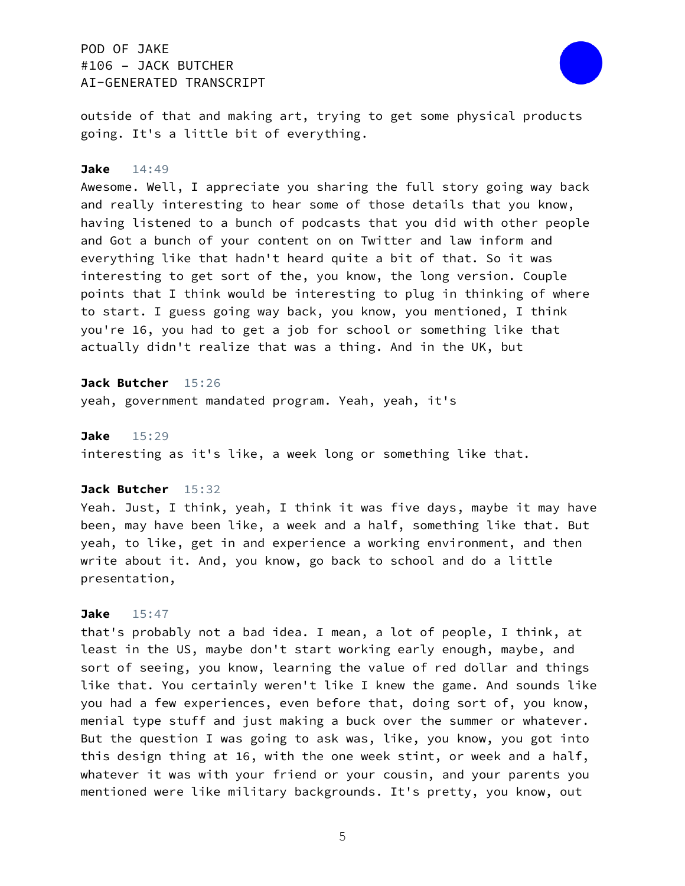

outside of that and making art, trying to get some physical products going. It's a little bit of everything.

#### **Jake** 14:49

Awesome. Well, I appreciate you sharing the full story going way back and really interesting to hear some of those details that you know, having listened to a bunch of podcasts that you did with other people and Got a bunch of your content on on Twitter and law inform and everything like that hadn't heard quite a bit of that. So it was interesting to get sort of the, you know, the long version. Couple points that I think would be interesting to plug in thinking of where to start. I guess going way back, you know, you mentioned, I think you're 16, you had to get a job for school or something like that actually didn't realize that was a thing. And in the UK, but

**Jack Butcher** 15:26 yeah, government mandated program. Yeah, yeah, it's

#### **Jake** 15:29

interesting as it's like, a week long or something like that.

#### **Jack Butcher** 15:32

Yeah. Just, I think, yeah, I think it was five days, maybe it may have been, may have been like, a week and a half, something like that. But yeah, to like, get in and experience a working environment, and then write about it. And, you know, go back to school and do a little presentation,

### **Jake** 15:47

that's probably not a bad idea. I mean, a lot of people, I think, at least in the US, maybe don't start working early enough, maybe, and sort of seeing, you know, learning the value of red dollar and things like that. You certainly weren't like I knew the game. And sounds like you had a few experiences, even before that, doing sort of, you know, menial type stuff and just making a buck over the summer or whatever. But the question I was going to ask was, like, you know, you got into this design thing at 16, with the one week stint, or week and a half, whatever it was with your friend or your cousin, and your parents you mentioned were like military backgrounds. It's pretty, you know, out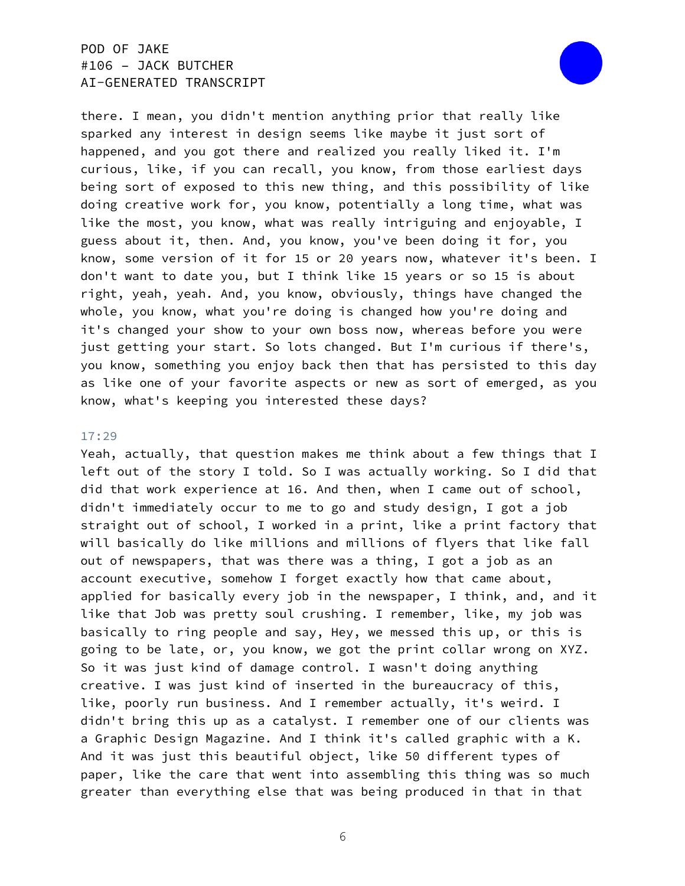

there. I mean, you didn't mention anything prior that really like sparked any interest in design seems like maybe it just sort of happened, and you got there and realized you really liked it. I'm curious, like, if you can recall, you know, from those earliest days being sort of exposed to this new thing, and this possibility of like doing creative work for, you know, potentially a long time, what was like the most, you know, what was really intriguing and enjoyable, I guess about it, then. And, you know, you've been doing it for, you know, some version of it for 15 or 20 years now, whatever it's been. I don't want to date you, but I think like 15 years or so 15 is about right, yeah, yeah. And, you know, obviously, things have changed the whole, you know, what you're doing is changed how you're doing and it's changed your show to your own boss now, whereas before you were just getting your start. So lots changed. But I'm curious if there's, you know, something you enjoy back then that has persisted to this day as like one of your favorite aspects or new as sort of emerged, as you know, what's keeping you interested these days?

#### 17:29

Yeah, actually, that question makes me think about a few things that I left out of the story I told. So I was actually working. So I did that did that work experience at 16. And then, when I came out of school, didn't immediately occur to me to go and study design, I got a job straight out of school, I worked in a print, like a print factory that will basically do like millions and millions of flyers that like fall out of newspapers, that was there was a thing, I got a job as an account executive, somehow I forget exactly how that came about, applied for basically every job in the newspaper, I think, and, and it like that Job was pretty soul crushing. I remember, like, my job was basically to ring people and say, Hey, we messed this up, or this is going to be late, or, you know, we got the print collar wrong on XYZ. So it was just kind of damage control. I wasn't doing anything creative. I was just kind of inserted in the bureaucracy of this, like, poorly run business. And I remember actually, it's weird. I didn't bring this up as a catalyst. I remember one of our clients was a Graphic Design Magazine. And I think it's called graphic with a K. And it was just this beautiful object, like 50 different types of paper, like the care that went into assembling this thing was so much greater than everything else that was being produced in that in that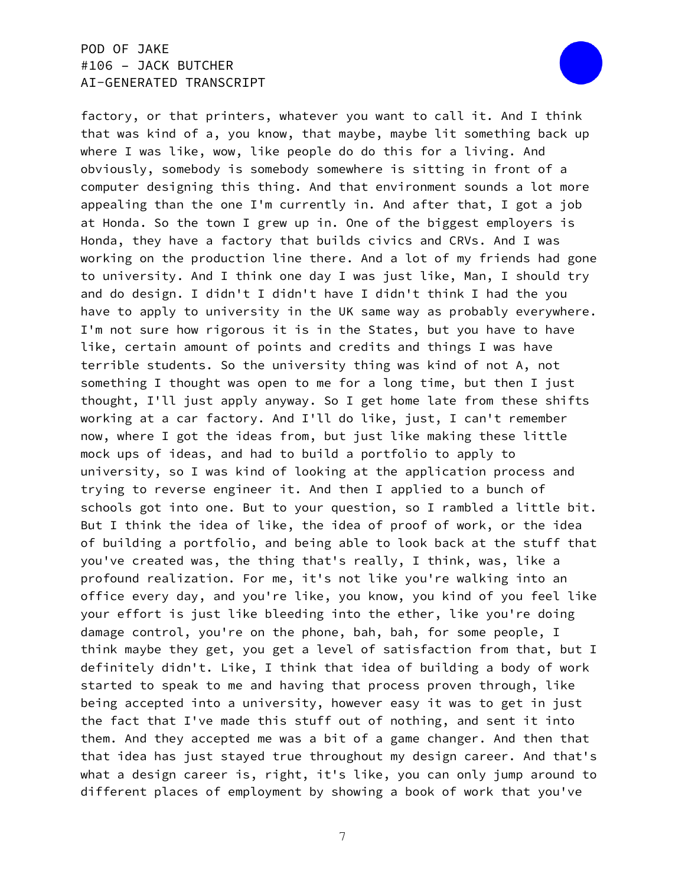

factory, or that printers, whatever you want to call it. And I think that was kind of a, you know, that maybe, maybe lit something back up where I was like, wow, like people do do this for a living. And obviously, somebody is somebody somewhere is sitting in front of a computer designing this thing. And that environment sounds a lot more appealing than the one I'm currently in. And after that, I got a job at Honda. So the town I grew up in. One of the biggest employers is Honda, they have a factory that builds civics and CRVs. And I was working on the production line there. And a lot of my friends had gone to university. And I think one day I was just like, Man, I should try and do design. I didn't I didn't have I didn't think I had the you have to apply to university in the UK same way as probably everywhere. I'm not sure how rigorous it is in the States, but you have to have like, certain amount of points and credits and things I was have terrible students. So the university thing was kind of not A, not something I thought was open to me for a long time, but then I just thought, I'll just apply anyway. So I get home late from these shifts working at a car factory. And I'll do like, just, I can't remember now, where I got the ideas from, but just like making these little mock ups of ideas, and had to build a portfolio to apply to university, so I was kind of looking at the application process and trying to reverse engineer it. And then I applied to a bunch of schools got into one. But to your question, so I rambled a little bit. But I think the idea of like, the idea of proof of work, or the idea of building a portfolio, and being able to look back at the stuff that you've created was, the thing that's really, I think, was, like a profound realization. For me, it's not like you're walking into an office every day, and you're like, you know, you kind of you feel like your effort is just like bleeding into the ether, like you're doing damage control, you're on the phone, bah, bah, for some people, I think maybe they get, you get a level of satisfaction from that, but I definitely didn't. Like, I think that idea of building a body of work started to speak to me and having that process proven through, like being accepted into a university, however easy it was to get in just the fact that I've made this stuff out of nothing, and sent it into them. And they accepted me was a bit of a game changer. And then that that idea has just stayed true throughout my design career. And that's what a design career is, right, it's like, you can only jump around to different places of employment by showing a book of work that you've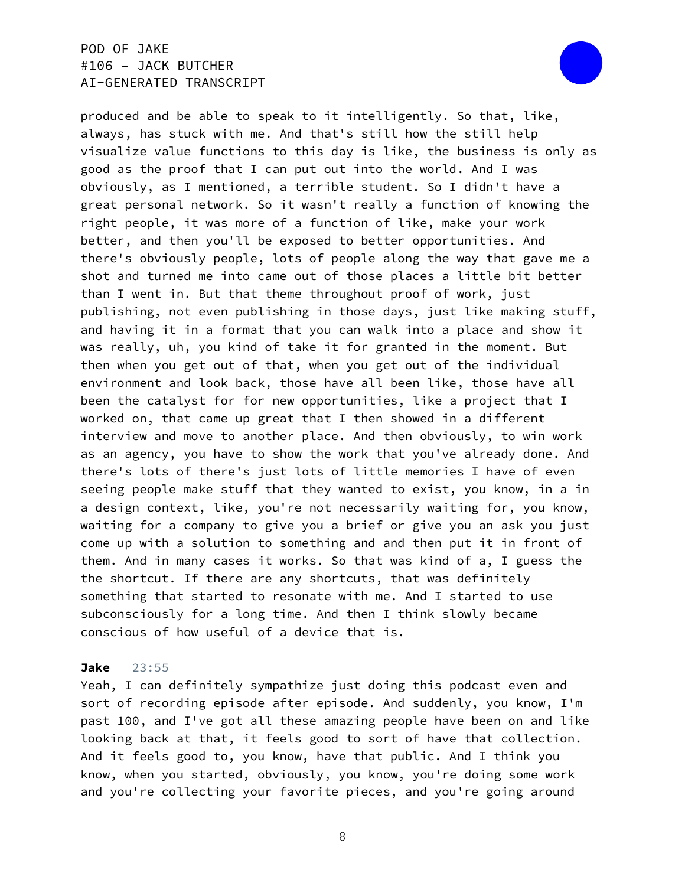

produced and be able to speak to it intelligently. So that, like, always, has stuck with me. And that's still how the still help visualize value functions to this day is like, the business is only as good as the proof that I can put out into the world. And I was obviously, as I mentioned, a terrible student. So I didn't have a great personal network. So it wasn't really a function of knowing the right people, it was more of a function of like, make your work better, and then you'll be exposed to better opportunities. And there's obviously people, lots of people along the way that gave me a shot and turned me into came out of those places a little bit better than I went in. But that theme throughout proof of work, just publishing, not even publishing in those days, just like making stuff, and having it in a format that you can walk into a place and show it was really, uh, you kind of take it for granted in the moment. But then when you get out of that, when you get out of the individual environment and look back, those have all been like, those have all been the catalyst for for new opportunities, like a project that I worked on, that came up great that I then showed in a different interview and move to another place. And then obviously, to win work as an agency, you have to show the work that you've already done. And there's lots of there's just lots of little memories I have of even seeing people make stuff that they wanted to exist, you know, in a in a design context, like, you're not necessarily waiting for, you know, waiting for a company to give you a brief or give you an ask you just come up with a solution to something and and then put it in front of them. And in many cases it works. So that was kind of a, I guess the the shortcut. If there are any shortcuts, that was definitely something that started to resonate with me. And I started to use subconsciously for a long time. And then I think slowly became conscious of how useful of a device that is.

#### **Jake** 23:55

Yeah, I can definitely sympathize just doing this podcast even and sort of recording episode after episode. And suddenly, you know, I'm past 100, and I've got all these amazing people have been on and like looking back at that, it feels good to sort of have that collection. And it feels good to, you know, have that public. And I think you know, when you started, obviously, you know, you're doing some work and you're collecting your favorite pieces, and you're going around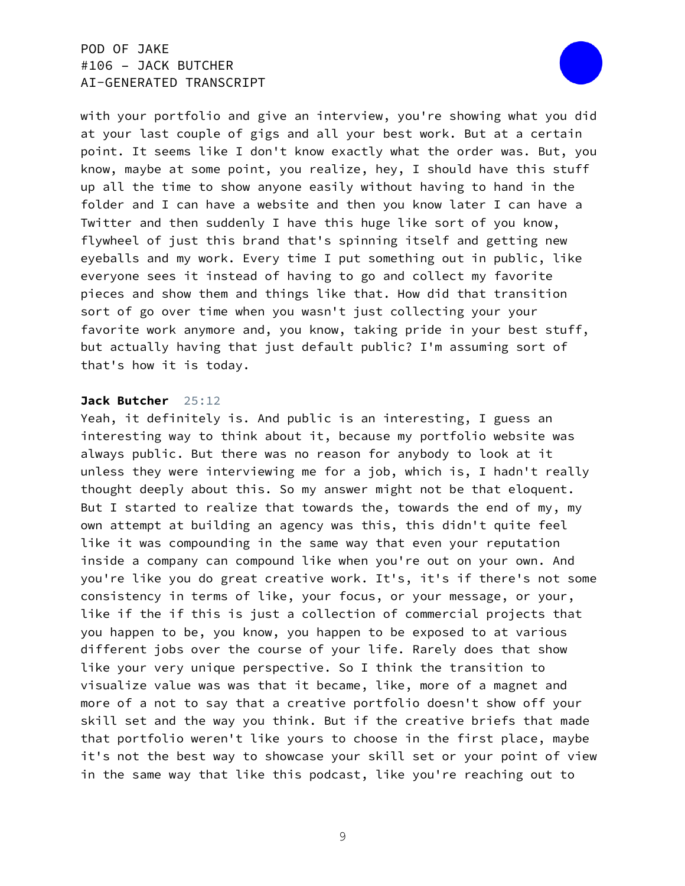

with your portfolio and give an interview, you're showing what you did at your last couple of gigs and all your best work. But at a certain point. It seems like I don't know exactly what the order was. But, you know, maybe at some point, you realize, hey, I should have this stuff up all the time to show anyone easily without having to hand in the folder and I can have a website and then you know later I can have a Twitter and then suddenly I have this huge like sort of you know, flywheel of just this brand that's spinning itself and getting new eyeballs and my work. Every time I put something out in public, like everyone sees it instead of having to go and collect my favorite pieces and show them and things like that. How did that transition sort of go over time when you wasn't just collecting your your favorite work anymore and, you know, taking pride in your best stuff, but actually having that just default public? I'm assuming sort of that's how it is today.

### **Jack Butcher** 25:12

Yeah, it definitely is. And public is an interesting, I guess an interesting way to think about it, because my portfolio website was always public. But there was no reason for anybody to look at it unless they were interviewing me for a job, which is, I hadn't really thought deeply about this. So my answer might not be that eloquent. But I started to realize that towards the, towards the end of my, my own attempt at building an agency was this, this didn't quite feel like it was compounding in the same way that even your reputation inside a company can compound like when you're out on your own. And you're like you do great creative work. It's, it's if there's not some consistency in terms of like, your focus, or your message, or your, like if the if this is just a collection of commercial projects that you happen to be, you know, you happen to be exposed to at various different jobs over the course of your life. Rarely does that show like your very unique perspective. So I think the transition to visualize value was was that it became, like, more of a magnet and more of a not to say that a creative portfolio doesn't show off your skill set and the way you think. But if the creative briefs that made that portfolio weren't like yours to choose in the first place, maybe it's not the best way to showcase your skill set or your point of view in the same way that like this podcast, like you're reaching out to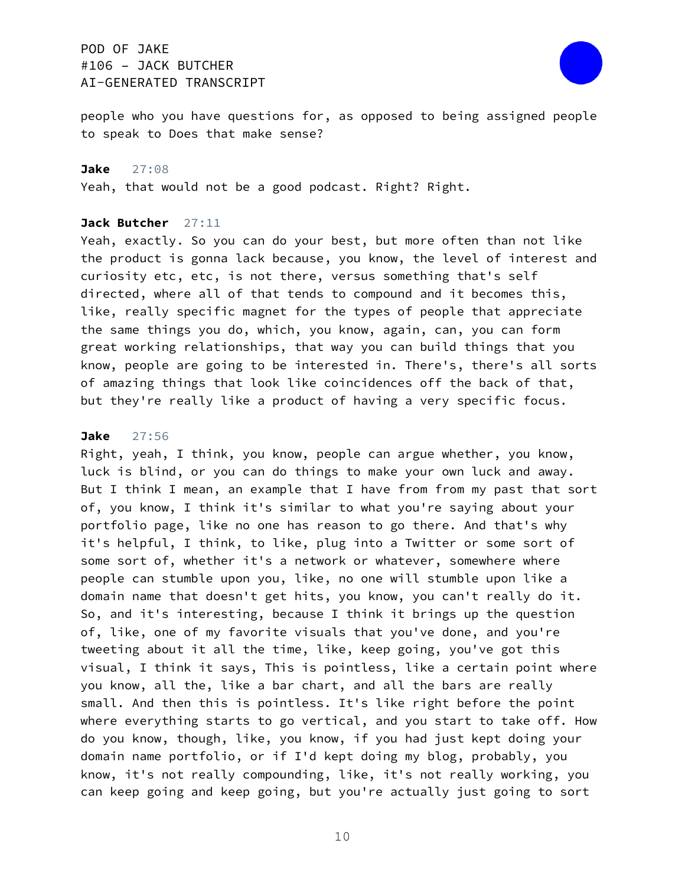

people who you have questions for, as opposed to being assigned people to speak to Does that make sense?

#### **Jake** 27:08

Yeah, that would not be a good podcast. Right? Right.

### **Jack Butcher** 27:11

Yeah, exactly. So you can do your best, but more often than not like the product is gonna lack because, you know, the level of interest and curiosity etc, etc, is not there, versus something that's self directed, where all of that tends to compound and it becomes this, like, really specific magnet for the types of people that appreciate the same things you do, which, you know, again, can, you can form great working relationships, that way you can build things that you know, people are going to be interested in. There's, there's all sorts of amazing things that look like coincidences off the back of that, but they're really like a product of having a very specific focus.

### **Jake** 27:56

Right, yeah, I think, you know, people can argue whether, you know, luck is blind, or you can do things to make your own luck and away. But I think I mean, an example that I have from from my past that sort of, you know, I think it's similar to what you're saying about your portfolio page, like no one has reason to go there. And that's why it's helpful, I think, to like, plug into a Twitter or some sort of some sort of, whether it's a network or whatever, somewhere where people can stumble upon you, like, no one will stumble upon like a domain name that doesn't get hits, you know, you can't really do it. So, and it's interesting, because I think it brings up the question of, like, one of my favorite visuals that you've done, and you're tweeting about it all the time, like, keep going, you've got this visual, I think it says, This is pointless, like a certain point where you know, all the, like a bar chart, and all the bars are really small. And then this is pointless. It's like right before the point where everything starts to go vertical, and you start to take off. How do you know, though, like, you know, if you had just kept doing your domain name portfolio, or if I'd kept doing my blog, probably, you know, it's not really compounding, like, it's not really working, you can keep going and keep going, but you're actually just going to sort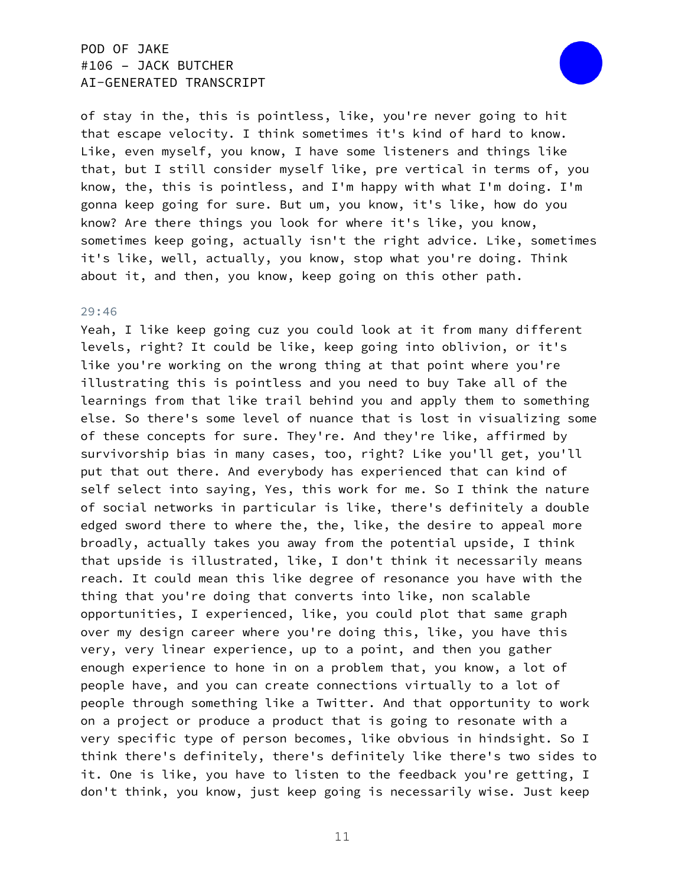

of stay in the, this is pointless, like, you're never going to hit that escape velocity. I think sometimes it's kind of hard to know. Like, even myself, you know, I have some listeners and things like that, but I still consider myself like, pre vertical in terms of, you know, the, this is pointless, and I'm happy with what I'm doing. I'm gonna keep going for sure. But um, you know, it's like, how do you know? Are there things you look for where it's like, you know, sometimes keep going, actually isn't the right advice. Like, sometimes it's like, well, actually, you know, stop what you're doing. Think about it, and then, you know, keep going on this other path.

#### 29:46

Yeah, I like keep going cuz you could look at it from many different levels, right? It could be like, keep going into oblivion, or it's like you're working on the wrong thing at that point where you're illustrating this is pointless and you need to buy Take all of the learnings from that like trail behind you and apply them to something else. So there's some level of nuance that is lost in visualizing some of these concepts for sure. They're. And they're like, affirmed by survivorship bias in many cases, too, right? Like you'll get, you'll put that out there. And everybody has experienced that can kind of self select into saying, Yes, this work for me. So I think the nature of social networks in particular is like, there's definitely a double edged sword there to where the, the, like, the desire to appeal more broadly, actually takes you away from the potential upside, I think that upside is illustrated, like, I don't think it necessarily means reach. It could mean this like degree of resonance you have with the thing that you're doing that converts into like, non scalable opportunities, I experienced, like, you could plot that same graph over my design career where you're doing this, like, you have this very, very linear experience, up to a point, and then you gather enough experience to hone in on a problem that, you know, a lot of people have, and you can create connections virtually to a lot of people through something like a Twitter. And that opportunity to work on a project or produce a product that is going to resonate with a very specific type of person becomes, like obvious in hindsight. So I think there's definitely, there's definitely like there's two sides to it. One is like, you have to listen to the feedback you're getting, I don't think, you know, just keep going is necessarily wise. Just keep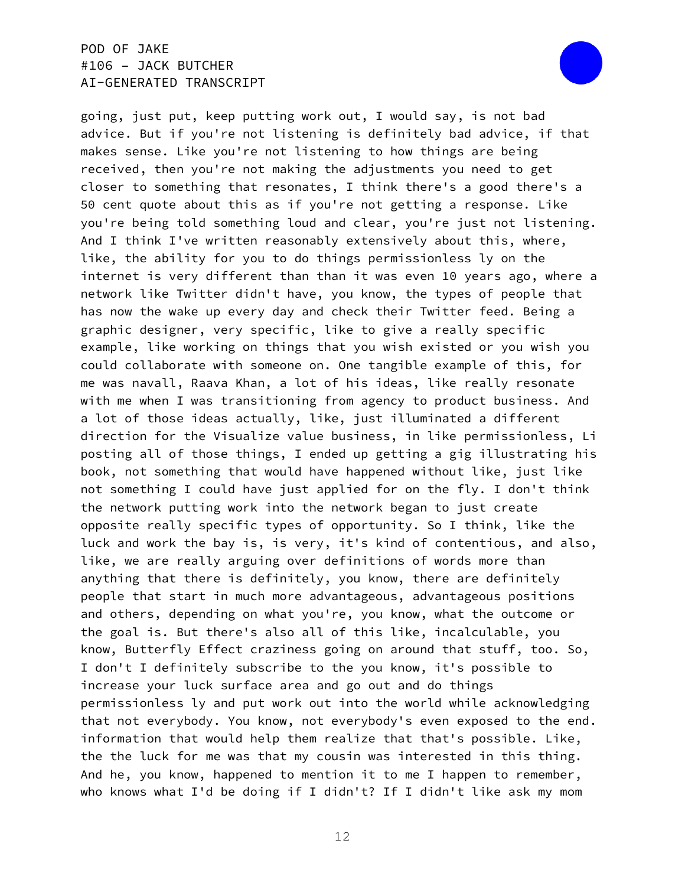

going, just put, keep putting work out, I would say, is not bad advice. But if you're not listening is definitely bad advice, if that makes sense. Like you're not listening to how things are being received, then you're not making the adjustments you need to get closer to something that resonates, I think there's a good there's a 50 cent quote about this as if you're not getting a response. Like you're being told something loud and clear, you're just not listening. And I think I've written reasonably extensively about this, where, like, the ability for you to do things permissionless ly on the internet is very different than than it was even 10 years ago, where a network like Twitter didn't have, you know, the types of people that has now the wake up every day and check their Twitter feed. Being a graphic designer, very specific, like to give a really specific example, like working on things that you wish existed or you wish you could collaborate with someone on. One tangible example of this, for me was navall, Raava Khan, a lot of his ideas, like really resonate with me when I was transitioning from agency to product business. And a lot of those ideas actually, like, just illuminated a different direction for the Visualize value business, in like permissionless, Li posting all of those things, I ended up getting a gig illustrating his book, not something that would have happened without like, just like not something I could have just applied for on the fly. I don't think the network putting work into the network began to just create opposite really specific types of opportunity. So I think, like the luck and work the bay is, is very, it's kind of contentious, and also, like, we are really arguing over definitions of words more than anything that there is definitely, you know, there are definitely people that start in much more advantageous, advantageous positions and others, depending on what you're, you know, what the outcome or the goal is. But there's also all of this like, incalculable, you know, Butterfly Effect craziness going on around that stuff, too. So, I don't I definitely subscribe to the you know, it's possible to increase your luck surface area and go out and do things permissionless ly and put work out into the world while acknowledging that not everybody. You know, not everybody's even exposed to the end. information that would help them realize that that's possible. Like, the the luck for me was that my cousin was interested in this thing. And he, you know, happened to mention it to me I happen to remember, who knows what I'd be doing if I didn't? If I didn't like ask my mom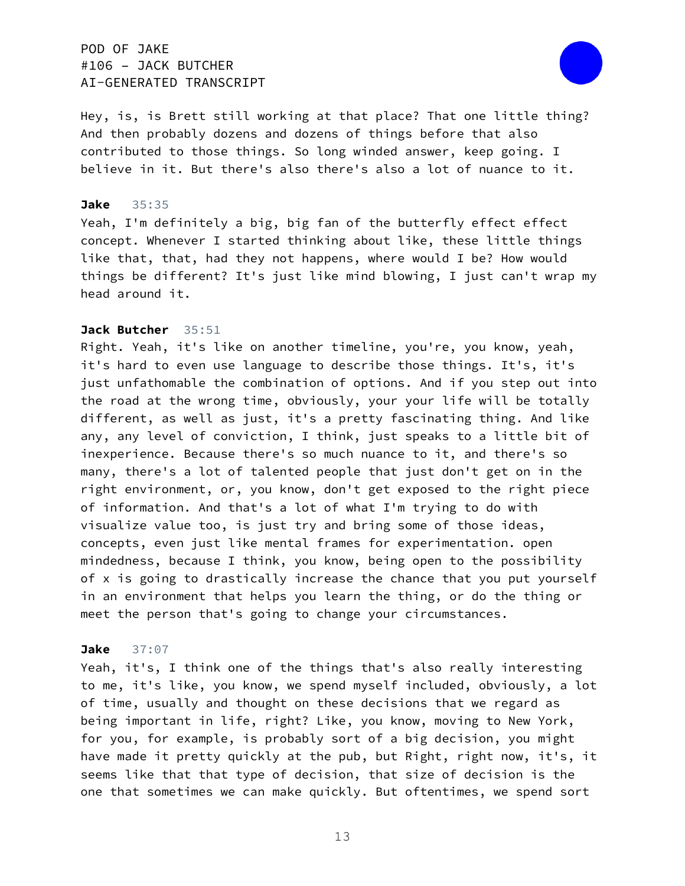

Hey, is, is Brett still working at that place? That one little thing? And then probably dozens and dozens of things before that also contributed to those things. So long winded answer, keep going. I believe in it. But there's also there's also a lot of nuance to it.

### **Jake** 35:35

Yeah, I'm definitely a big, big fan of the butterfly effect effect concept. Whenever I started thinking about like, these little things like that, that, had they not happens, where would I be? How would things be different? It's just like mind blowing, I just can't wrap my head around it.

#### **Jack Butcher** 35:51

Right. Yeah, it's like on another timeline, you're, you know, yeah, it's hard to even use language to describe those things. It's, it's just unfathomable the combination of options. And if you step out into the road at the wrong time, obviously, your your life will be totally different, as well as just, it's a pretty fascinating thing. And like any, any level of conviction, I think, just speaks to a little bit of inexperience. Because there's so much nuance to it, and there's so many, there's a lot of talented people that just don't get on in the right environment, or, you know, don't get exposed to the right piece of information. And that's a lot of what I'm trying to do with visualize value too, is just try and bring some of those ideas, concepts, even just like mental frames for experimentation. open mindedness, because I think, you know, being open to the possibility of x is going to drastically increase the chance that you put yourself in an environment that helps you learn the thing, or do the thing or meet the person that's going to change your circumstances.

#### **Jake** 37:07

Yeah, it's, I think one of the things that's also really interesting to me, it's like, you know, we spend myself included, obviously, a lot of time, usually and thought on these decisions that we regard as being important in life, right? Like, you know, moving to New York, for you, for example, is probably sort of a big decision, you might have made it pretty quickly at the pub, but Right, right now, it's, it seems like that that type of decision, that size of decision is the one that sometimes we can make quickly. But oftentimes, we spend sort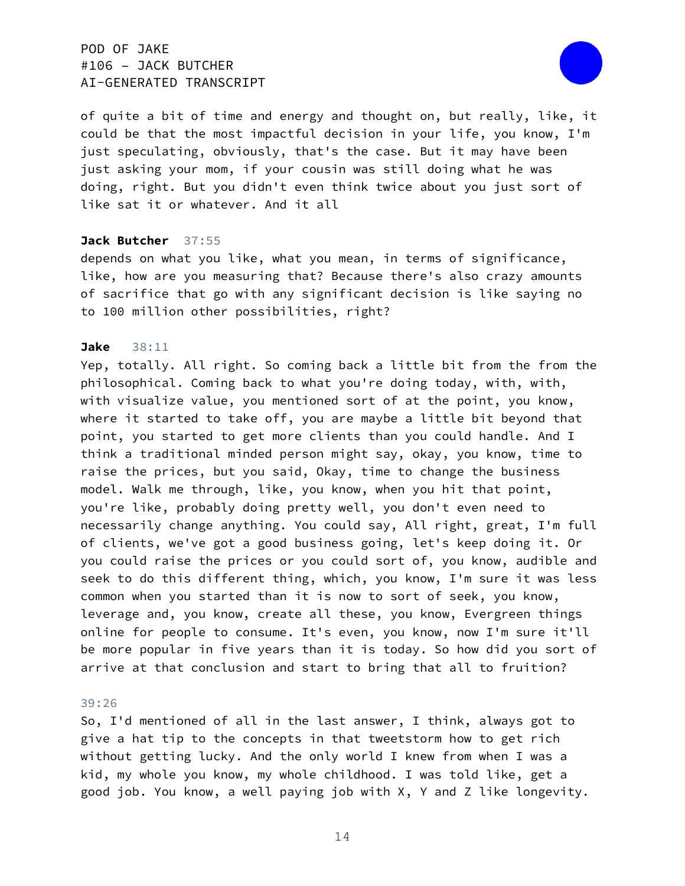

of quite a bit of time and energy and thought on, but really, like, it could be that the most impactful decision in your life, you know, I'm just speculating, obviously, that's the case. But it may have been just asking your mom, if your cousin was still doing what he was doing, right. But you didn't even think twice about you just sort of like sat it or whatever. And it all

### **Jack Butcher** 37:55

depends on what you like, what you mean, in terms of significance, like, how are you measuring that? Because there's also crazy amounts of sacrifice that go with any significant decision is like saying no to 100 million other possibilities, right?

#### **Jake** 38:11

Yep, totally. All right. So coming back a little bit from the from the philosophical. Coming back to what you're doing today, with, with, with visualize value, you mentioned sort of at the point, you know, where it started to take off, you are maybe a little bit beyond that point, you started to get more clients than you could handle. And I think a traditional minded person might say, okay, you know, time to raise the prices, but you said, Okay, time to change the business model. Walk me through, like, you know, when you hit that point, you're like, probably doing pretty well, you don't even need to necessarily change anything. You could say, All right, great, I'm full of clients, we've got a good business going, let's keep doing it. Or you could raise the prices or you could sort of, you know, audible and seek to do this different thing, which, you know, I'm sure it was less common when you started than it is now to sort of seek, you know, leverage and, you know, create all these, you know, Evergreen things online for people to consume. It's even, you know, now I'm sure it'll be more popular in five years than it is today. So how did you sort of arrive at that conclusion and start to bring that all to fruition?

#### 39:26

So, I'd mentioned of all in the last answer, I think, always got to give a hat tip to the concepts in that tweetstorm how to get rich without getting lucky. And the only world I knew from when I was a kid, my whole you know, my whole childhood. I was told like, get a good job. You know, a well paying job with X, Y and Z like longevity.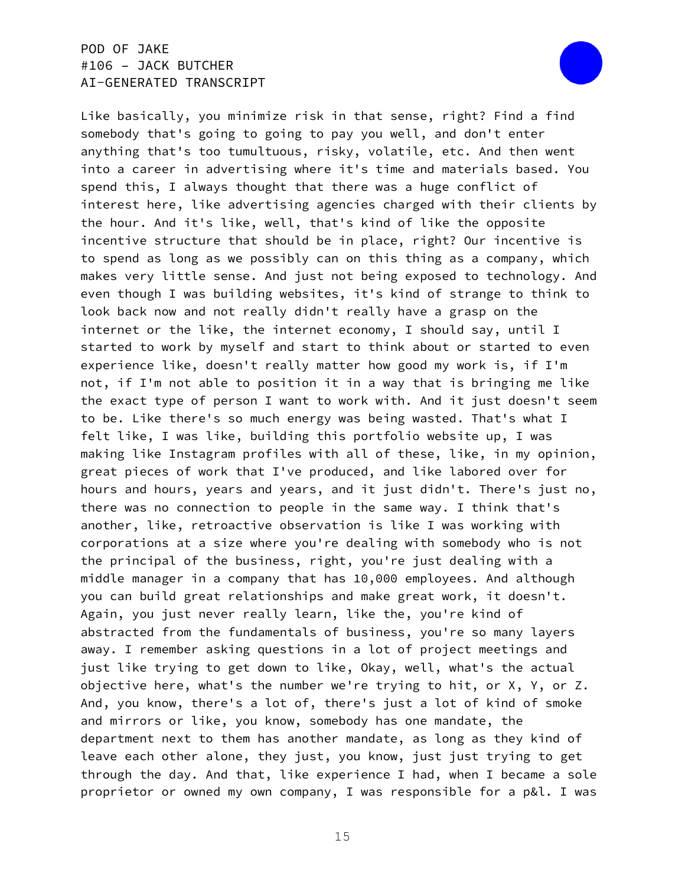

Like basically, you minimize risk in that sense, right? Find a find somebody that's going to going to pay you well, and don't enter anything that's too tumultuous, risky, volatile, etc. And then went into a career in advertising where it's time and materials based. You spend this, I always thought that there was a huge conflict of interest here, like advertising agencies charged with their clients by the hour. And it's like, well, that's kind of like the opposite incentive structure that should be in place, right? Our incentive is to spend as long as we possibly can on this thing as a company, which makes very little sense. And just not being exposed to technology. And even though I was building websites, it's kind of strange to think to look back now and not really didn't really have a grasp on the internet or the like, the internet economy, I should say, until I started to work by myself and start to think about or started to even experience like, doesn't really matter how good my work is, if I'm not, if I'm not able to position it in a way that is bringing me like the exact type of person I want to work with. And it just doesn't seem to be. Like there's so much energy was being wasted. That's what I felt like, I was like, building this portfolio website up, I was making like Instagram profiles with all of these, like, in my opinion, great pieces of work that I've produced, and like labored over for hours and hours, years and years, and it just didn't. There's just no, there was no connection to people in the same way. I think that's another, like, retroactive observation is like I was working with corporations at a size where you're dealing with somebody who is not the principal of the business, right, you're just dealing with a middle manager in a company that has 10,000 employees. And although you can build great relationships and make great work, it doesn't. Again, you just never really learn, like the, you're kind of abstracted from the fundamentals of business, you're so many layers away. I remember asking questions in a lot of project meetings and just like trying to get down to like, Okay, well, what's the actual objective here, what's the number we're trying to hit, or X, Y, or Z. And, you know, there's a lot of, there's just a lot of kind of smoke and mirrors or like, you know, somebody has one mandate, the department next to them has another mandate, as long as they kind of leave each other alone, they just, you know, just just trying to get through the day. And that, like experience I had, when I became a sole proprietor or owned my own company, I was responsible for a p&l. I was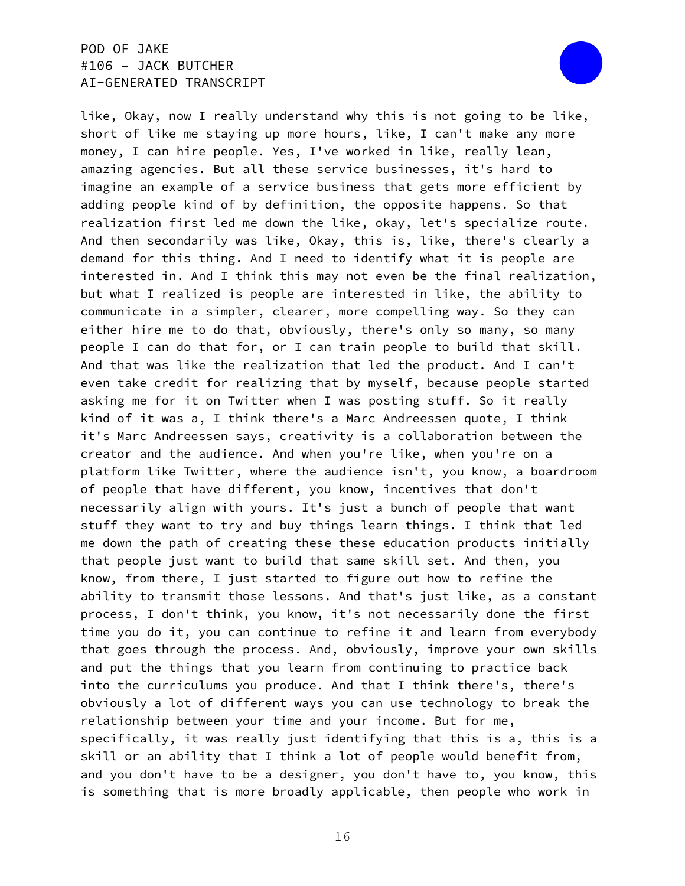

like, Okay, now I really understand why this is not going to be like, short of like me staying up more hours, like, I can't make any more money, I can hire people. Yes, I've worked in like, really lean, amazing agencies. But all these service businesses, it's hard to imagine an example of a service business that gets more efficient by adding people kind of by definition, the opposite happens. So that realization first led me down the like, okay, let's specialize route. And then secondarily was like, Okay, this is, like, there's clearly a demand for this thing. And I need to identify what it is people are interested in. And I think this may not even be the final realization, but what I realized is people are interested in like, the ability to communicate in a simpler, clearer, more compelling way. So they can either hire me to do that, obviously, there's only so many, so many people I can do that for, or I can train people to build that skill. And that was like the realization that led the product. And I can't even take credit for realizing that by myself, because people started asking me for it on Twitter when I was posting stuff. So it really kind of it was a, I think there's a Marc Andreessen quote, I think it's Marc Andreessen says, creativity is a collaboration between the creator and the audience. And when you're like, when you're on a platform like Twitter, where the audience isn't, you know, a boardroom of people that have different, you know, incentives that don't necessarily align with yours. It's just a bunch of people that want stuff they want to try and buy things learn things. I think that led me down the path of creating these these education products initially that people just want to build that same skill set. And then, you know, from there, I just started to figure out how to refine the ability to transmit those lessons. And that's just like, as a constant process, I don't think, you know, it's not necessarily done the first time you do it, you can continue to refine it and learn from everybody that goes through the process. And, obviously, improve your own skills and put the things that you learn from continuing to practice back into the curriculums you produce. And that I think there's, there's obviously a lot of different ways you can use technology to break the relationship between your time and your income. But for me, specifically, it was really just identifying that this is a, this is a skill or an ability that I think a lot of people would benefit from, and you don't have to be a designer, you don't have to, you know, this is something that is more broadly applicable, then people who work in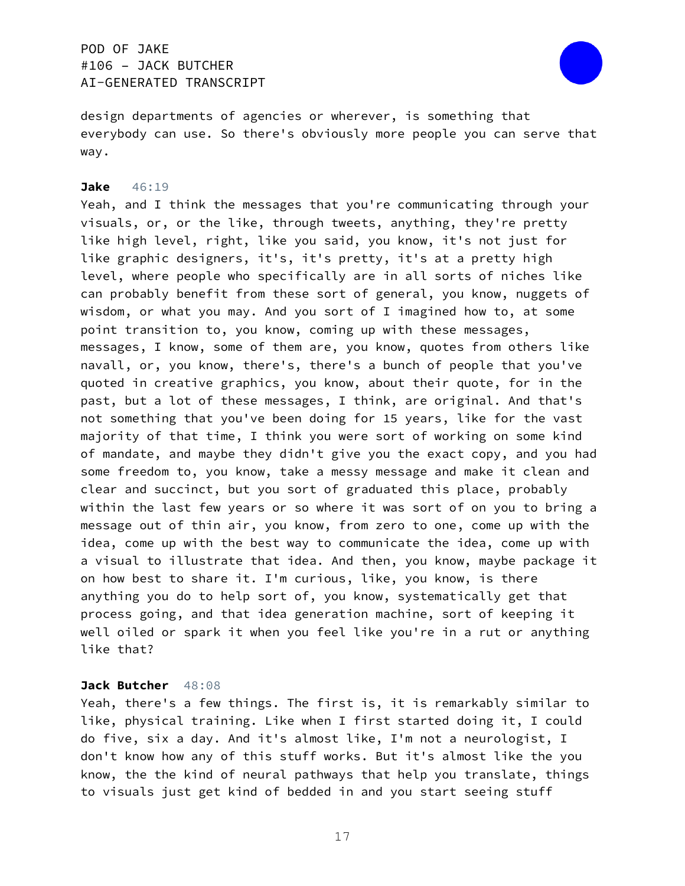

design departments of agencies or wherever, is something that everybody can use. So there's obviously more people you can serve that way.

#### **Jake** 46:19

Yeah, and I think the messages that you're communicating through your visuals, or, or the like, through tweets, anything, they're pretty like high level, right, like you said, you know, it's not just for like graphic designers, it's, it's pretty, it's at a pretty high level, where people who specifically are in all sorts of niches like can probably benefit from these sort of general, you know, nuggets of wisdom, or what you may. And you sort of I imagined how to, at some point transition to, you know, coming up with these messages, messages, I know, some of them are, you know, quotes from others like navall, or, you know, there's, there's a bunch of people that you've quoted in creative graphics, you know, about their quote, for in the past, but a lot of these messages, I think, are original. And that's not something that you've been doing for 15 years, like for the vast majority of that time, I think you were sort of working on some kind of mandate, and maybe they didn't give you the exact copy, and you had some freedom to, you know, take a messy message and make it clean and clear and succinct, but you sort of graduated this place, probably within the last few years or so where it was sort of on you to bring a message out of thin air, you know, from zero to one, come up with the idea, come up with the best way to communicate the idea, come up with a visual to illustrate that idea. And then, you know, maybe package it on how best to share it. I'm curious, like, you know, is there anything you do to help sort of, you know, systematically get that process going, and that idea generation machine, sort of keeping it well oiled or spark it when you feel like you're in a rut or anything like that?

#### **Jack Butcher** 48:08

Yeah, there's a few things. The first is, it is remarkably similar to like, physical training. Like when I first started doing it, I could do five, six a day. And it's almost like, I'm not a neurologist, I don't know how any of this stuff works. But it's almost like the you know, the the kind of neural pathways that help you translate, things to visuals just get kind of bedded in and you start seeing stuff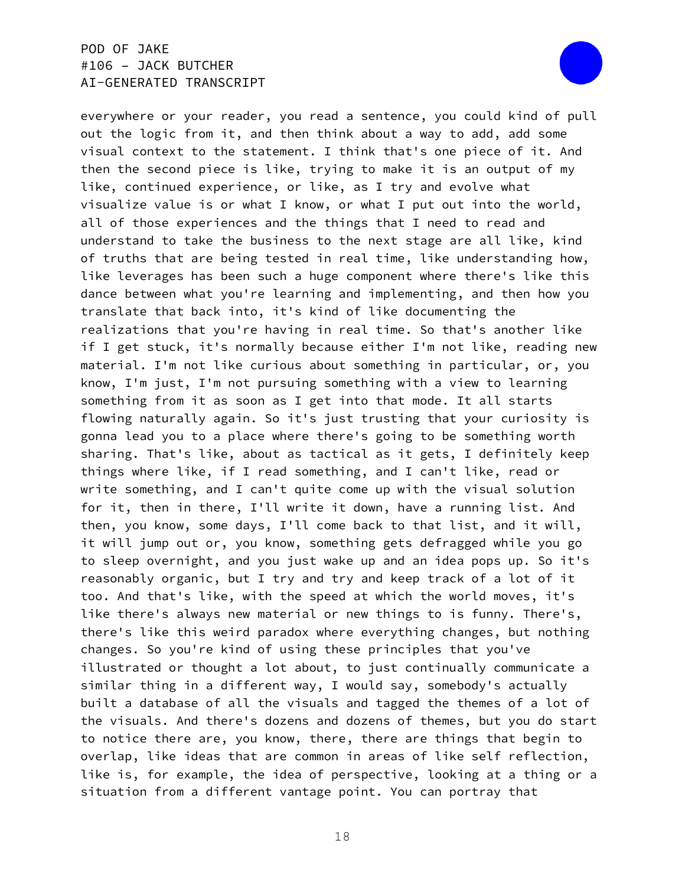

everywhere or your reader, you read a sentence, you could kind of pull out the logic from it, and then think about a way to add, add some visual context to the statement. I think that's one piece of it. And then the second piece is like, trying to make it is an output of my like, continued experience, or like, as I try and evolve what visualize value is or what I know, or what I put out into the world, all of those experiences and the things that I need to read and understand to take the business to the next stage are all like, kind of truths that are being tested in real time, like understanding how, like leverages has been such a huge component where there's like this dance between what you're learning and implementing, and then how you translate that back into, it's kind of like documenting the realizations that you're having in real time. So that's another like if I get stuck, it's normally because either I'm not like, reading new material. I'm not like curious about something in particular, or, you know, I'm just, I'm not pursuing something with a view to learning something from it as soon as I get into that mode. It all starts flowing naturally again. So it's just trusting that your curiosity is gonna lead you to a place where there's going to be something worth sharing. That's like, about as tactical as it gets, I definitely keep things where like, if I read something, and I can't like, read or write something, and I can't quite come up with the visual solution for it, then in there, I'll write it down, have a running list. And then, you know, some days, I'll come back to that list, and it will, it will jump out or, you know, something gets defragged while you go to sleep overnight, and you just wake up and an idea pops up. So it's reasonably organic, but I try and try and keep track of a lot of it too. And that's like, with the speed at which the world moves, it's like there's always new material or new things to is funny. There's, there's like this weird paradox where everything changes, but nothing changes. So you're kind of using these principles that you've illustrated or thought a lot about, to just continually communicate a similar thing in a different way, I would say, somebody's actually built a database of all the visuals and tagged the themes of a lot of the visuals. And there's dozens and dozens of themes, but you do start to notice there are, you know, there, there are things that begin to overlap, like ideas that are common in areas of like self reflection, like is, for example, the idea of perspective, looking at a thing or a situation from a different vantage point. You can portray that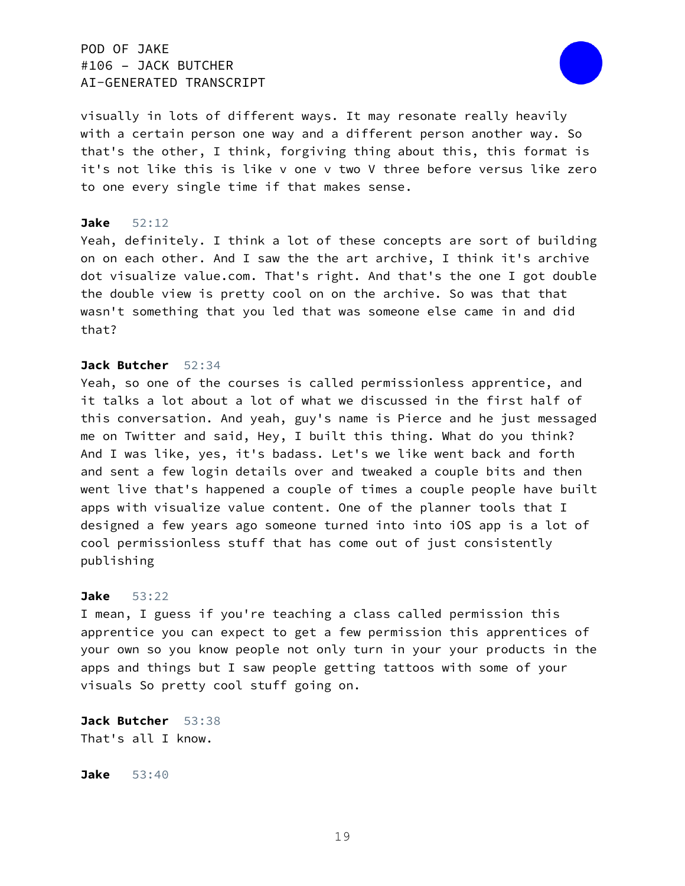

visually in lots of different ways. It may resonate really heavily with a certain person one way and a different person another way. So that's the other, I think, forgiving thing about this, this format is it's not like this is like v one v two V three before versus like zero to one every single time if that makes sense.

#### **Jake** 52:12

Yeah, definitely. I think a lot of these concepts are sort of building on on each other. And I saw the the art archive, I think it's archive dot visualize value.com. That's right. And that's the one I got double the double view is pretty cool on on the archive. So was that that wasn't something that you led that was someone else came in and did that?

### **Jack Butcher** 52:34

Yeah, so one of the courses is called permissionless apprentice, and it talks a lot about a lot of what we discussed in the first half of this conversation. And yeah, guy's name is Pierce and he just messaged me on Twitter and said, Hey, I built this thing. What do you think? And I was like, yes, it's badass. Let's we like went back and forth and sent a few login details over and tweaked a couple bits and then went live that's happened a couple of times a couple people have built apps with visualize value content. One of the planner tools that I designed a few years ago someone turned into into iOS app is a lot of cool permissionless stuff that has come out of just consistently publishing

#### **Jake** 53:22

I mean, I guess if you're teaching a class called permission this apprentice you can expect to get a few permission this apprentices of your own so you know people not only turn in your your products in the apps and things but I saw people getting tattoos with some of your visuals So pretty cool stuff going on.

**Jack Butcher** 53:38 That's all I know.

**Jake** 53:40